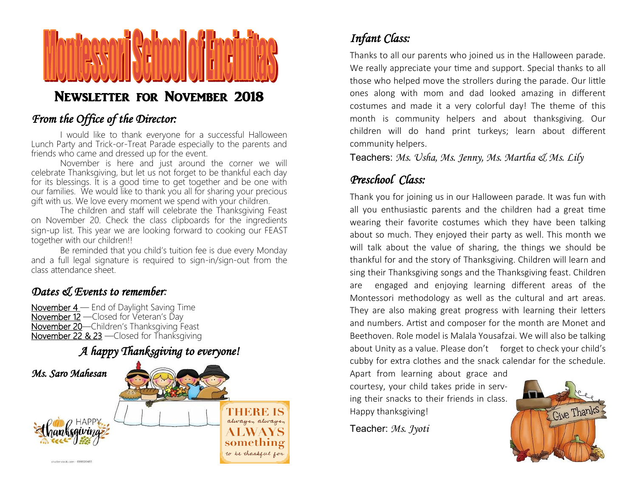

### NEWSLETTER FOR NOVEMBER 2018

#### *From the Office of the Director:*

I would like to thank everyone for a successful Halloween Lunch Party and Trick-or-Treat Parade especially to the parents and friends who came and dressed up for the event.

November is here and just around the corner we will celebrate Thanksgiving, but let us not forget to be thankful each day for its blessings. It is a good time to get together and be one with our families. We would like to thank you all for sharing your precious gift with us. We love every moment we spend with your children.

The children and staff will celebrate the Thanksgiving Feast on November 20. Check the class clipboards for the ingredients sign-up list. This year we are looking forward to cooking our FEAST together with our children!!

Be reminded that you child's tuition fee is due every Monday and a full legal signature is required to sign-in/sign-out from the class attendance sheet.

#### *Dates & Events to remember:*

November 4 — End of Daylight Saving Time November 12 —Closed for Veteran's Day November 20—Children's Thanksgiving Feast November 22 & 23 —Closed for Thanksgiving



# *Infant Class:*

Thanks to all our parents who joined us in the Halloween parade. We really appreciate your time and support. Special thanks to all those who helped move the strollers during the parade. Our little ones along with mom and dad looked amazing in different costumes and made it a very colorful day! The theme of this month is community helpers and about thanksgiving. Our children will do hand print turkeys; learn about different community helpers.

Teachers: Ms. Usha, Ms. Jenny, Ms. Martha & Ms. Lily

### *Preschool Class:*

Thank you for joining us in our Halloween parade. It was fun with all you enthusiastic parents and the children had a great time wearing their favorite costumes which they have been talking about so much. They enjoyed their party as well. This month we will talk about the value of sharing, the things we should be thankful for and the story of Thanksgiving. Children will learn and sing their Thanksgiving songs and the Thanksgiving feast. Children are engaged and enjoying learning different areas of the Montessori methodology as well as the cultural and art areas. They are also making great progress with learning their letters and numbers. Artist and composer for the month are Monet and Beethoven. Role model is Malala Yousafzai. We will also be talking about Unity as a value. Please don't forget to check your child's cubby for extra clothes and the snack calendar for the schedule.

Apart from learning about grace and courtesy, your child takes pride in serving their snacks to their friends in class. Happy thanksgiving!

Teacher: *Ms. Jyoti*